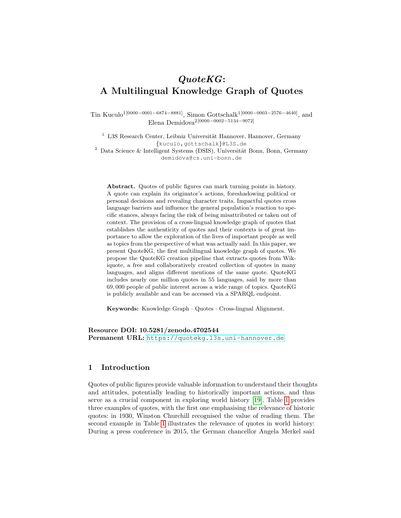# QuoteKG: A Multilingual Knowledge Graph of Quotes

Tin Kuculo<sup>1[0000–0001–6874–8881]</sup>, Simon Gottschalk<sup>1[0000–0003–2576–4640]</sup>, and Elena Demidova2[0000−0002−5134−9072]

 $1$  L3S Research Center, Leibniz Universität Hannover, Hannover, Germany {kuculo,gottschalk}@L3S.de  $2$  Data Science & Intelligent Systems (DSIS), Universität Bonn, Bonn, Germany demidova@cs.uni-bonn.de

Abstract. Quotes of public figures can mark turning points in history. A quote can explain its originator's actions, foreshadowing political or personal decisions and revealing character traits. Impactful quotes cross language barriers and influence the general population's reaction to specific stances, always facing the risk of being misattributed or taken out of context. The provision of a cross-lingual knowledge graph of quotes that establishes the authenticity of quotes and their contexts is of great importance to allow the exploration of the lives of important people as well as topics from the perspective of what was actually said. In this paper, we present QuoteKG, the first multilingual knowledge graph of quotes. We propose the QuoteKG creation pipeline that extracts quotes from Wikiquote, a free and collaboratively created collection of quotes in many languages, and aligns different mentions of the same quote. QuoteKG includes nearly one million quotes in 55 languages, said by more than 69, 000 people of public interest across a wide range of topics. QuoteKG is publicly available and can be accessed via a SPARQL endpoint.

Keywords: Knowledge Graph · Quotes · Cross-lingual Alignment.

Resource DOI: 10.5281/zenodo.4702544 Permanent URL: https://quotekg.13s.uni-hannover.de

## 1 Introduction

Quotes of public figures provide valuable information to understand their thoughts and attitudes, potentially leading to historically important actions, and thus serve as a crucial component in exploring world history [\[19\]](#page-16-0). Table [1](#page-1-0) provides three examples of quotes, with the first one emphasising the relevance of historic quotes: in 1930, Winston Churchill recognised the value of reading them. The second example in Table [1](#page-1-0) illustrates the relevance of quotes in world history: During a press conference in 2015, the German chancellor Angela Merkel said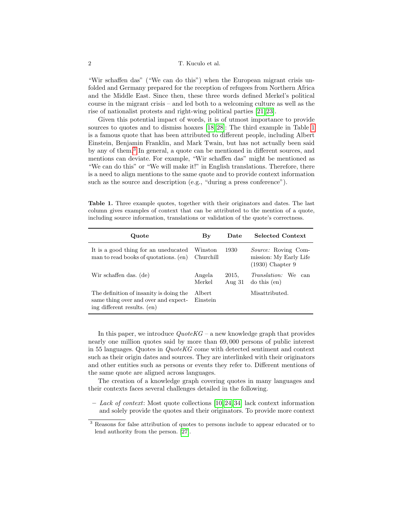#### 2 T. Kuculo et al.

"Wir schaffen das" ("We can do this") when the European migrant crisis unfolded and Germany prepared for the reception of refugees from Northern Africa and the Middle East. Since then, these three words defined Merkel's political course in the migrant crisis – and led both to a welcoming culture as well as the rise of nationalist protests and right-wing political parties [\[21,](#page-16-1) [23\]](#page-16-2).

Given this potential impact of words, it is of utmost importance to provide sources to quotes and to dismiss hoaxes [\[18,](#page-16-3) [28\]](#page-16-4): The third example in Table [1](#page-1-0) is a famous quote that has been attributed to different people, including Albert Einstein, Benjamin Franklin, and Mark Twain, but has not actually been said by any of them.[3](#page-1-1) In general, a quote can be mentioned in different sources, and mentions can deviate. For example, "Wir schaffen das" might be mentioned as "We can do this" or "We will make it!" in English translations. Therefore, there is a need to align mentions to the same quote and to provide context information such as the source and description (e.g., "during a press conference").

<span id="page-1-0"></span>Table 1. Three example quotes, together with their originators and dates. The last column gives examples of context that can be attributed to the mention of a quote, including source information, translations or validation of the quote's correctness.

| Quote                                                                                                          | $\mathbf{B}\mathbf{y}$ | Date              | <b>Selected Context</b>                                                    |
|----------------------------------------------------------------------------------------------------------------|------------------------|-------------------|----------------------------------------------------------------------------|
| It is a good thing for an uneducated<br>man to read books of quotations. (en)                                  | Winston<br>Churchill   | 1930              | <i>Source:</i> Roving Com-<br>mission: My Early Life<br>$(1930)$ Chapter 9 |
| Wir schaffen das. (de)                                                                                         | Angela<br>Merkel       | 2015,<br>Aug $31$ | <i>Translation:</i> We<br>can<br>$\frac{1}{\cos(\theta)}$                  |
| The definition of insanity is doing the<br>same thing over and over and expect-<br>ing different results. (en) | Albert<br>Einstein     |                   | Misattributed.                                                             |

In this paper, we introduce  $QuoteKG$  – a new knowledge graph that provides nearly one million quotes said by more than 69, 000 persons of public interest in 55 languages. Quotes in QuoteKG come with detected sentiment and context such as their origin dates and sources. They are interlinked with their originators and other entities such as persons or events they refer to. Different mentions of the same quote are aligned across languages.

The creation of a knowledge graph covering quotes in many languages and their contexts faces several challenges detailed in the following.

– Lack of context: Most quote collections [\[10,](#page-15-0) [24,](#page-16-5) [34\]](#page-16-6) lack context information and solely provide the quotes and their originators. To provide more context

<span id="page-1-1"></span><sup>3</sup> Reasons for false attribution of quotes to persons include to appear educated or to lend authority from the person. [\[27\]](#page-16-7).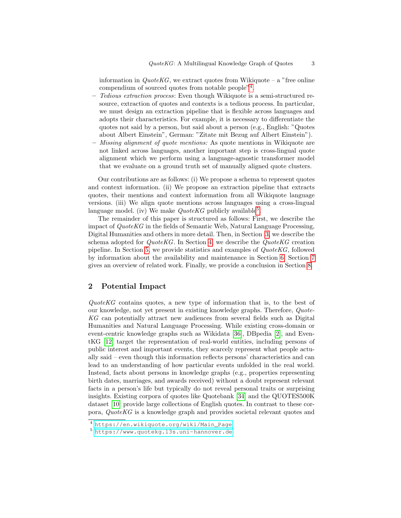information in  $QuotekG$ , we extract quotes from Wikiquote – a "free online" compendium of sourced quotes from notable people"[4](#page-2-0) .

- Tedious extraction process: Even though Wikiquote is a semi-structured resource, extraction of quotes and contexts is a tedious process. In particular, we must design an extraction pipeline that is flexible across languages and adopts their characteristics. For example, it is necessary to differentiate the quotes not said by a person, but said about a person (e.g., English: "Quotes about Albert Einstein", German: "Zitate mit Bezug auf Albert Einstein").
- Missing alignment of quote mentions: As quote mentions in Wikiquote are not linked across languages, another important step is cross-lingual quote alignment which we perform using a language-agnostic transformer model that we evaluate on a ground truth set of manually aligned quote clusters.

Our contributions are as follows: (i) We propose a schema to represent quotes and context information. (ii) We propose an extraction pipeline that extracts quotes, their mentions and context information from all Wikiquote language versions. (iii) We align quote mentions across languages using a cross-lingual language model. (iv) We make  $QuoteKG$  publicly available<sup>[5](#page-2-1)</sup>.

The remainder of this paper is structured as follows: First, we describe the impact of QuoteKG in the fields of Semantic Web, Natural Language Processing, Digital Humanities and others in more detail. Then, in Section [3,](#page-3-0) we describe the schema adopted for  $QuoteKG$ . In Section [4,](#page-5-0) we describe the  $QuoteKG$  creation pipeline. In Section [5,](#page-9-0) we provide statistics and examples of QuoteKG, followed by information about the availability and maintenance in Section [6.](#page-12-0) Section [7](#page-13-0) gives an overview of related work. Finally, we provide a conclusion in Section [8.](#page-14-0)

## 2 Potential Impact

QuoteKG contains quotes, a new type of information that is, to the best of our knowledge, not yet present in existing knowledge graphs. Therefore, Quote-KG can potentially attract new audiences from several fields such as Digital Humanities and Natural Language Processing. While existing cross-domain or event-centric knowledge graphs such as Wikidata [\[36\]](#page-16-8), DBpedia [\[2\]](#page-15-1), and EventKG [\[12\]](#page-15-2) target the representation of real-world entities, including persons of public interest and important events, they scarcely represent what people actually said – even though this information reflects persons' characteristics and can lead to an understanding of how particular events unfolded in the real world. Instead, facts about persons in knowledge graphs (e.g., properties representing birth dates, marriages, and awards received) without a doubt represent relevant facts in a person's life but typically do not reveal personal traits or surprising insights. Existing corpora of quotes like Quotebank [\[34\]](#page-16-6) and the QUOTES500K dataset [\[10\]](#page-15-0) provide large collections of English quotes. In contrast to these corpora, QuoteKG is a knowledge graph and provides societal relevant quotes and

<span id="page-2-0"></span><sup>4</sup> [https://en.wikiquote.org/wiki/Main\\_Page](https://en.wikiquote.org/wiki/Main_Page)

<span id="page-2-1"></span><sup>5</sup> <https://www.quotekg.l3s.uni-hannover.de>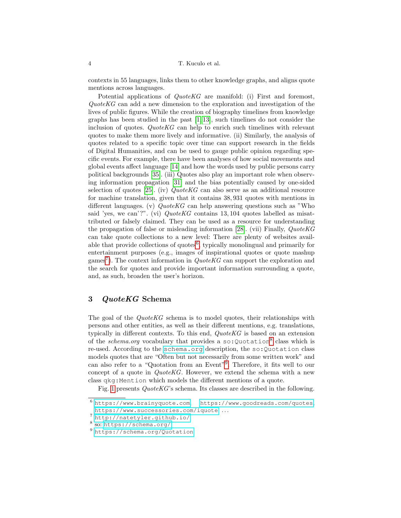contexts in 55 languages, links them to other knowledge graphs, and aligns quote mentions across languages.

Potential applications of *QuoteKG* are manifold: (i) First and foremost,  $QuoteKG$  can add a new dimension to the exploration and investigation of the lives of public figures. While the creation of biography timelines from knowledge graphs has been studied in the past [\[1,](#page-15-3) [13\]](#page-15-4), such timelines do not consider the inclusion of quotes. QuoteKG can help to enrich such timelines with relevant quotes to make them more lively and informative. (ii) Similarly, the analysis of quotes related to a specific topic over time can support research in the fields of Digital Humanities, and can be used to gauge public opinion regarding specific events. For example, there have been analyses of how social movements and global events affect language [\[14\]](#page-15-5) and how the words used by public persons carry political backgrounds [\[35\]](#page-16-9). (iii) Quotes also play an important role when observing information propagation [\[31\]](#page-16-10) and the bias potentially caused by one-sided selection of quotes  $[25]$ . (iv)  $QuotekG$  can also serve as an additional resource for machine translation, given that it contains 38, 931 quotes with mentions in different languages. (v)  $QuoteKG$  can help answering questions such as "Who said 'yes, we can'?". (vi)  $QuoteKG$  contains 13, 104 quotes labelled as misattributed or falsely claimed. They can be used as a resource for understanding the propagation of false or misleading information [\[28\]](#page-16-4). (vii) Finally, QuoteKG can take quote collections to a new level: There are plenty of websites available that provide collections of quotes<sup> $6$ </sup>, typically monolingual and primarily for entertainment purposes (e.g., images of inspirational quotes or quote mashup games<sup>[7](#page-3-2)</sup>). The context information in  $QuoteKG$  can support the exploration and the search for quotes and provide important information surrounding a quote, and, as such, broaden the user's horizon.

# <span id="page-3-0"></span>3 QuoteKG Schema

The goal of the *QuoteKG* schema is to model quotes, their relationships with persons and other entities, as well as their different mentions, e.g. translations, typically in different contexts. To this end,  $QuoteKG$  is based on an extension of the *schema.org* vocabulary that provides a so: Quotation<sup>[8](#page-3-3)</sup> class which is re-used. According to the <schema.org> description, the so:Quotation class models quotes that are "Often but not necessarily from some written work" and can also refer to a "Quotation from an Event"[9](#page-3-4) . Therefore, it fits well to our concept of a quote in  $Quotek G$ . However, we extend the schema with a new class qkg:Mention which models the different mentions of a quote.

Fig. [1](#page-4-0) presents QuoteKG's schema. Its classes are described in the following.

<span id="page-3-1"></span><sup>6</sup> <https://www.brainyquote.com>, <https://www.goodreads.com/quotes>, <https://www.successories.com/iquote>,...

<span id="page-3-2"></span><sup>7</sup> <http://natetyler.github.io/>

<span id="page-3-3"></span><sup>8</sup> so: <https://schema.org/>

<span id="page-3-4"></span><sup>9</sup> <https://schema.org/Quotation>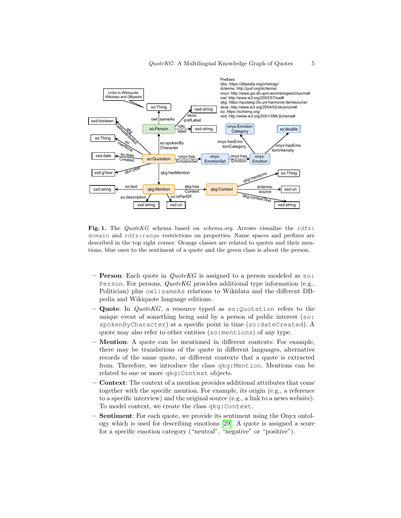

<span id="page-4-0"></span>Fig. 1. The QuoteKG schema based on schema.org. Arrows visualize the rdfs: domain and rdfs:range restrictions on properties. Name spaces and prefixes are described in the top right corner. Orange classes are related to quotes and their mentions, blue ones to the sentiment of a quote and the green class is about the person.

- **Person**: Each quote in  $QuoteKG$  is assigned to a person modeled as so: Person. For persons, QuoteKG provides additional type information (e.g., Politician) plus owl:sameAs relations to Wikidata and the different DBpedia and Wikiquote language editions.
- Quote: In QuoteKG, a resource typed as so:Quotation refers to the unique event of something being said by a person of public interest (so: spokenByCharacter) at a specific point in time (so:dateCreated). A quote may also refer to other entities (so:mentions) of any type.
- Mention: A quote can be mentioned in different contexts: For example, there may be translations of the quote in different languages, alternative records of the same quote, or different contexts that a quote is extracted from. Therefore, we introduce the class qkg:Mention. Mentions can be related to one or more qkg:Context objects.
- Context: The context of a mention provides additional attributes that come together with the specific mention. For example, its origin (e.g., a reference to a specific interview) and the original source (e.g., a link to a news website). To model context, we create the class qkg:Context.
- Sentiment: For each quote, we provide its sentiment using the Onyx ontology which is used for describing emotions [\[29\]](#page-16-12). A quote is assigned a score for a specific emotion category ("neutral", "negative" or "positive").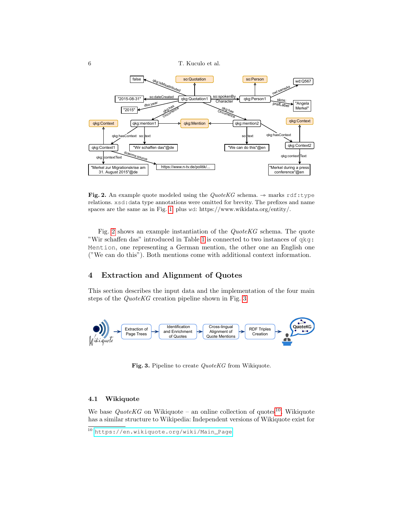6 T. Kuculo et al.



<span id="page-5-1"></span>Fig. 2. An example quote modeled using the QuoteKG schema.  $\rightarrow$  marks rdf:type relations. xsd:data type annotations were omitted for brevity. The prefixes and name spaces are the same as in Fig. [1,](#page-4-0) plus wd: https://www.wikidata.org/entity/.

Fig. [2](#page-5-1) shows an example instantiation of the QuoteKG schema. The quote "Wir schaffen das" introduced in Table [1](#page-1-0) is connected to two instances of qkg: Mention, one representing a German mention, the other one an English one ("We can do this"). Both mentions come with additional context information.

# <span id="page-5-0"></span>4 Extraction and Alignment of Quotes

This section describes the input data and the implementation of the four main steps of the QuoteKG creation pipeline shown in Fig. [3.](#page-5-2)



<span id="page-5-2"></span>Fig. 3. Pipeline to create QuoteKG from Wikiquote.

### <span id="page-5-4"></span>4.1 Wikiquote

We base  $QuoteKG$  on Wikiquote – an online collection of quotes<sup>[10](#page-5-3)</sup>. Wikiquote has a similar structure to Wikipedia: Independent versions of Wikiquote exist for

<span id="page-5-3"></span><sup>10</sup> [https://en.wikiquote.org/wiki/Main\\_Page](https://en.wikiquote.org/wiki/Main_Page)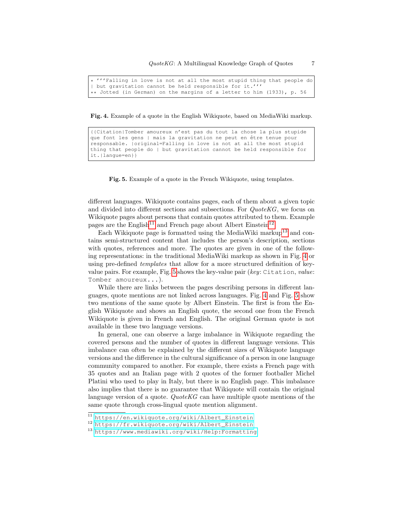\* '''Falling in love is not at all the most stupid thing that people do | but gravitation cannot be held responsible for it.''' \*\* Jotted (in German) on the margins of a letter to him (1933), p. 56

<span id="page-6-3"></span>Fig. 4. Example of a quote in the English Wikiquote, based on MediaWiki markup.

```
{{Citation|Tomber amoureux n'est pas du tout la chose la plus stupide
que font les gens | mais la gravitation ne peut en être tenue pour
responsable. |original=Falling in love is not at all the most stupid
thing that people do | but gravitation cannot be held responsible for
it.|langue=en}}
```
<span id="page-6-4"></span>Fig. 5. Example of a quote in the French Wikiquote, using templates.

different languages. Wikiquote contains pages, each of them about a given topic and divided into different sections and subsections. For QuoteKG, we focus on Wikiquote pages about persons that contain quotes attributed to them. Example pages are the English<sup>[11](#page-6-0)</sup> and French page about Albert Einstein<sup>[12](#page-6-1)</sup>.

Each Wikiquote page is formatted using the MediaWiki markup<sup>[13](#page-6-2)</sup> and contains semi-structured content that includes the person's description, sections with quotes, references and more. The quotes are given in one of the following representations: in the traditional MediaWiki markup as shown in Fig. [4](#page-6-3) or using pre-defined templates that allow for a more structured definition of keyvalue pairs. For example, Fig. [5](#page-6-4) shows the key-value pair (key: Citation, value: Tomber amoureux...).

While there are links between the pages describing persons in different languages, quote mentions are not linked across languages. Fig. [4](#page-6-3) and Fig. [5](#page-6-4) show two mentions of the same quote by Albert Einstein. The first is from the English Wikiquote and shows an English quote, the second one from the French Wikiquote is given in French and English. The original German quote is not available in these two language versions.

In general, one can observe a large imbalance in Wikiquote regarding the covered persons and the number of quotes in different language versions. This imbalance can often be explained by the different sizes of Wikiquote language versions and the difference in the cultural significance of a person in one language community compared to another. For example, there exists a French page with 35 quotes and an Italian page with 2 quotes of the former footballer Michel Platini who used to play in Italy, but there is no English page. This imbalance also implies that there is no guarantee that Wikiquote will contain the original language version of a quote. QuoteKG can have multiple quote mentions of the same quote through cross-lingual quote mention alignment.

<span id="page-6-0"></span><sup>11</sup> [https://en.wikiquote.org/wiki/Albert\\_Einstein](https://en.wikiquote.org/wiki/Albert_Einstein)

<span id="page-6-1"></span><sup>12</sup> [https://fr.wikiquote.org/wiki/Albert\\_Einstein](https://fr.wikiquote.org/wiki/Albert_Einstein)

<span id="page-6-2"></span><sup>13</sup> <https://www.mediawiki.org/wiki/Help:Formatting>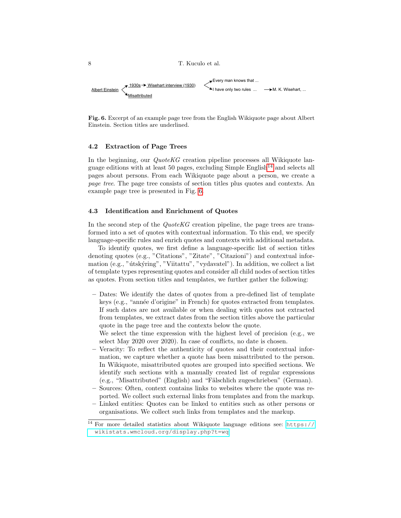

<span id="page-7-1"></span>Fig. 6. Excerpt of an example page tree from the English Wikiquote page about Albert Einstein. Section titles are underlined.

### 4.2 Extraction of Page Trees

In the beginning, our *QuoteKG* creation pipeline processes all Wikiquote lan-guage editions with at least 50 pages, excluding Simple English<sup>[14](#page-7-0)</sup> and selects all pages about persons. From each Wikiquote page about a person, we create a page tree. The page tree consists of section titles plus quotes and contexts. An example page tree is presented in Fig. [6.](#page-7-1)

### 4.3 Identification and Enrichment of Quotes

In the second step of the  $QuoteKG$  creation pipeline, the page trees are transformed into a set of quotes with contextual information. To this end, we specify language-specific rules and enrich quotes and contexts with additional metadata.

To identify quotes, we first define a language-specific list of section titles denoting quotes (e.g., "Citations", "Zitate", "Citazioni") and contextual information (e.g., "útskýring", "Viitattu", "vydavatel"). In addition, we collect a list of template types representing quotes and consider all child nodes of section titles as quotes. From section titles and templates, we further gather the following:

- Dates: We identify the dates of quotes from a pre-defined list of template keys (e.g., "année d'origine" in French) for quotes extracted from templates. If such dates are not available or when dealing with quotes not extracted from templates, we extract dates from the section titles above the particular quote in the page tree and the contexts below the quote.
	- We select the time expression with the highest level of precision (e.g., we select May 2020 over 2020). In case of conflicts, no date is chosen.
- Veracity: To reflect the authenticity of quotes and their contextual information, we capture whether a quote has been misattributed to the person. In Wikiquote, misattributed quotes are grouped into specified sections. We identify such sections with a manually created list of regular expressions (e.g., "Misattributed" (English) and "Fälschlich zugeschrieben" (German). – Sources: Often, context contains links to websites where the quote was re-
- ported. We collect such external links from templates and from the markup.
- Linked entities: Quotes can be linked to entities such as other persons or organisations. We collect such links from templates and the markup.

<span id="page-7-0"></span><sup>&</sup>lt;sup>14</sup> For more detailed statistics about Wikiquote language editions see: [https://](https://wikistats.wmcloud.org/display.php?t=wq) [wikistats.wmcloud.org/display.php?t=wq](https://wikistats.wmcloud.org/display.php?t=wq)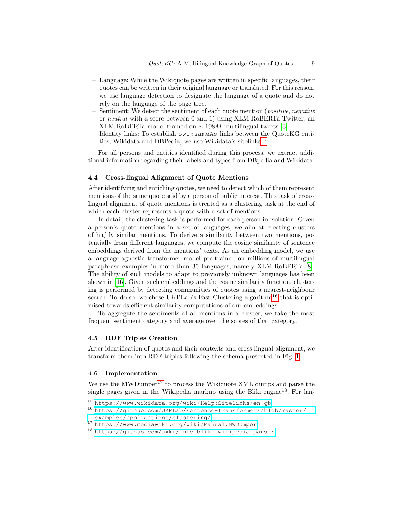- Language: While the Wikiquote pages are written in specific languages, their quotes can be written in their original language or translated. For this reason, we use language detection to designate the language of a quote and do not rely on the language of the page tree.
- Sentiment: We detect the sentiment of each quote mention (positive, negative or neutral with a score between 0 and 1) using XLM-RoBERTa-Twitter, an XLM-RoBERTa model trained on  $\sim$  198M multilingual tweets [\[3\]](#page-15-6).
- Identity links: To establish owl:sameAs links between the QuoteKG enti-ties, Wikidata and DBPedia, we use Wikidata's sitelinks<sup>[15](#page-8-0)</sup>.

For all persons and entities identified during this process, we extract additional information regarding their labels and types from DBpedia and Wikidata.

### 4.4 Cross-lingual Alignment of Quote Mentions

After identifying and enriching quotes, we need to detect which of them represent mentions of the same quote said by a person of public interest. This task of crosslingual alignment of quote mentions is treated as a clustering task at the end of which each cluster represents a quote with a set of mentions.

In detail, the clustering task is performed for each person in isolation. Given a person's quote mentions in a set of languages, we aim at creating clusters of highly similar mentions. To derive a similarity between two mentions, potentially from different languages, we compute the cosine similarity of sentence embeddings derived from the mentions' texts. As an embedding model, we use a language-agnostic transformer model pre-trained on millions of multilingual paraphrase examples in more than 30 languages, namely XLM-RoBERTa [\[8\]](#page-15-7). The ability of such models to adapt to previously unknown languages has been shown in [\[16\]](#page-15-8). Given such embeddings and the cosine similarity function, clustering is performed by detecting communities of quotes using a nearest-neighbour search. To do so, we chose UKPLab's Fast Clustering algorithm<sup>[16](#page-8-1)</sup> that is optimised towards efficient similarity computations of our embeddings.

To aggregate the sentiments of all mentions in a cluster, we take the most frequent sentiment category and average over the scores of that category.

#### 4.5 RDF Triples Creation

After identification of quotes and their contexts and cross-lingual alignment, we transform them into RDF triples following the schema presented in Fig. [1.](#page-4-0)

#### 4.6 Implementation

We use the MWDumper<sup>[17](#page-8-2)</sup> to process the Wikiquote XML dumps and parse the single pages given in the Wikipedia markup using the Bliki engine<sup>[18](#page-8-3)</sup>. For lan-

<span id="page-8-0"></span><sup>15</sup> <https://www.wikidata.org/wiki/Help:Sitelinks/en-gb>

<span id="page-8-1"></span><sup>16</sup> [https://github.com/UKPLab/sentence-transformers/blob/master/](https://github.com/UKPLab/sentence-transformers/blob/master/examples/applications/clustering/) [examples/applications/clustering/](https://github.com/UKPLab/sentence-transformers/blob/master/examples/applications/clustering/)

<span id="page-8-2"></span><sup>17</sup> <https://www.mediawiki.org/wiki/Manual:MWDumper>

<span id="page-8-3"></span><sup>18</sup> [https://github.com/axkr/info.bliki.wikipedia\\_parser](https://github.com/axkr/info.bliki.wikipedia_parser)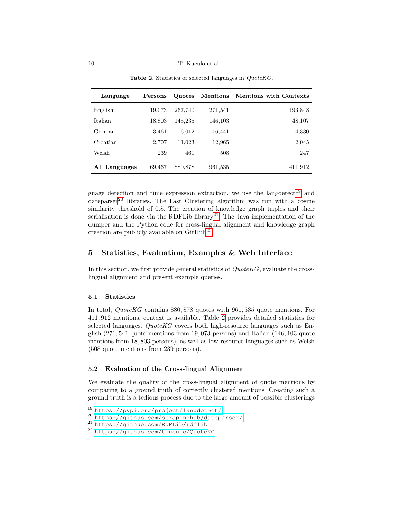<span id="page-9-5"></span>

| Language      | Persons | Quotes  | Mentions | <b>Mentions with Contexts</b> |
|---------------|---------|---------|----------|-------------------------------|
| English       | 19,073  | 267,740 | 271,541  | 193,848                       |
| Italian       | 18,803  | 145,235 | 146,103  | 48,107                        |
| German        | 3,461   | 16,012  | 16,441   | 4,330                         |
| Croatian      | 2,707   | 11,023  | 12,965   | 2,045                         |
| Welsh         | 239     | 461     | 508      | 247                           |
| All Languages | 69,467  | 880,878 | 961,535  | 411,912                       |

Table 2. Statistics of selected languages in *QuoteKG*.

guage detection and time expression extraction, we use the lange detect<sup>[19](#page-9-1)</sup> and dateparser<sup>[20](#page-9-2)</sup> libraries. The Fast Clustering algorithm was run with a cosine similarity threshold of 0.8. The creation of knowledge graph triples and their serialisation is done via the RDFLib library<sup>[21](#page-9-3)</sup>. The Java implementation of the dumper and the Python code for cross-lingual alignment and knowledge graph creation are publicly available on  $\text{GitHub}^{22}$  $\text{GitHub}^{22}$  $\text{GitHub}^{22}$ .

# <span id="page-9-0"></span>5 Statistics, Evaluation, Examples & Web Interface

In this section, we first provide general statistics of  $QuoteKG$ , evaluate the crosslingual alignment and present example queries.

#### 5.1 Statistics

In total, *QuoteKG* contains 880, 878 quotes with 961, 535 quote mentions. For 411, 912 mentions, context is available. Table [2](#page-9-5) provides detailed statistics for selected languages. QuoteKG covers both high-resource languages such as English (271, 541 quote mentions from 19, 073 persons) and Italian (146, 103 quote mentions from 18, 803 persons), as well as low-resource languages such as Welsh (508 quote mentions from 239 persons).

### 5.2 Evaluation of the Cross-lingual Alignment

We evaluate the quality of the cross-lingual alignment of quote mentions by comparing to a ground truth of correctly clustered mentions. Creating such a ground truth is a tedious process due to the large amount of possible clusterings

<span id="page-9-1"></span><sup>19</sup> <https://pypi.org/project/langdetect/>

<span id="page-9-2"></span><sup>20</sup> <https://github.com/scrapinghub/dateparser/>

<span id="page-9-3"></span><sup>21</sup> <https://github.com/RDFLib/rdflib>

<span id="page-9-4"></span><sup>22</sup> <https://github.com/tkuculo/QuoteKG>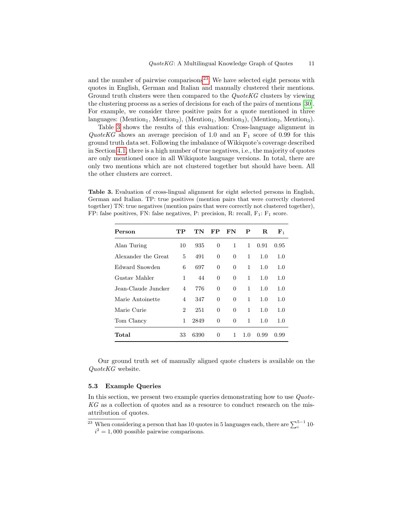and the number of pairwise comparisons<sup>[23](#page-10-0)</sup>. We have selected eight persons with quotes in English, German and Italian and manually clustered their mentions. Ground truth clusters were then compared to the *QuoteKG* clusters by viewing the clustering process as a series of decisions for each of the pairs of mentions [\[30\]](#page-16-13). For example, we consider three positive pairs for a quote mentioned in three languages: (Mention<sub>1</sub>, Mention<sub>2</sub>), (Mention<sub>1</sub>, Mention<sub>3</sub>), (Mention<sub>2</sub>, Mention<sub>3</sub>).

Table [3](#page-10-1) shows the results of this evaluation: Cross-language alignment in QuoteKG shows an average precision of 1.0 and an  $F_1$  score of 0.99 for this ground truth data set. Following the imbalance of Wikiquote's coverage described in Section [4.1,](#page-5-4) there is a high number of true negatives, i.e., the majority of quotes are only mentioned once in all Wikiquote language versions. In total, there are only two mentions which are not clustered together but should have been. All the other clusters are correct.

<span id="page-10-1"></span>Table 3. Evaluation of cross-lingual alignment for eight selected persons in English, German and Italian. TP: true positives (mention pairs that were correctly clustered together) TN: true negatives (mention pairs that were correctly not clustered together), FP: false positives, FN: false negatives, P: precision, R: recall,  $F_1$ :  $F_1$  score.

| Person              | TР             | TN   | FP             | FN             | P   | R.   | ${\bf F}_1$ |
|---------------------|----------------|------|----------------|----------------|-----|------|-------------|
| Alan Turing         | 10             | 935  | $\overline{0}$ | 1              | 1   | 0.91 | 0.95        |
| Alexander the Great | 5              | 491  | $\overline{0}$ | $\Omega$       | 1   | 1.0  | 1.0         |
| Edward Snowden      | 6              | 697  | 0              | $\overline{0}$ | 1   | 1.0  | 1.0         |
| Gustav Mahler       | 1              | 44   | $\overline{0}$ | $\overline{0}$ | 1   | 1.0  | 1.0         |
| Jean-Claude Juncker | 4              | 776  | $\Omega$       | $\Omega$       | 1   | 1.0  | 1.0         |
| Marie Antoinette    | 4              | 347  | $\overline{0}$ | $\overline{0}$ | 1   | 1.0  | 1.0         |
| Marie Curie         | $\overline{2}$ | 251  | $\Omega$       | $\Omega$       | 1   | 1.0  | 1.0         |
| Tom Clancy          | 1              | 2849 | $\theta$       | $\Omega$       | 1   | 1.0  | 1.0         |
| Total               | 33             | 6390 | $\Omega$       | 1              | 1.0 | 0.99 | 0.99        |

Our ground truth set of manually aligned quote clusters is available on the QuoteKG website.

#### 5.3 Example Queries

In this section, we present two example queries demonstrating how to use Quote-KG as a collection of quotes and as a resource to conduct research on the misattribution of quotes.

<span id="page-10-0"></span><sup>&</sup>lt;sup>23</sup> When considering a person that has 10 quotes in 5 languages each, there are  $\sum_{i=1}^{5-1} 10$  $i^2 = 1,000$  possible pairwise comparisons.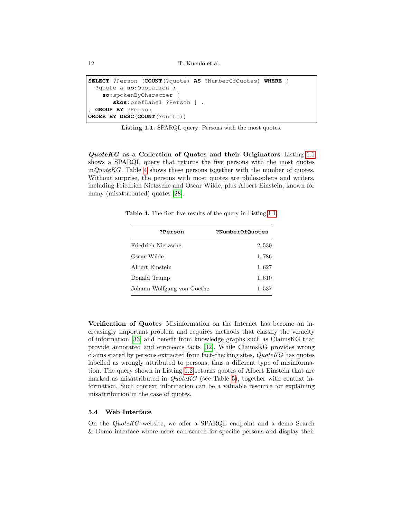12 T. Kuculo et al.

```
SELECT ?Person (COUNT(?quote) AS ?NumberOfQuotes) WHERE {
  ?quote a so:Quotation ;
    so:spokenByCharacter [
       skos:prefLabel ?Person ] .
} GROUP BY ?Person
ORDER BY DESC(COUNT(?quote))
```
Listing 1.1. SPARQL query: Persons with the most quotes.

QuoteKG as a Collection of Quotes and their Originators Listing [1.1](#page-11-0) shows a SPARQL query that returns the five persons with the most quotes  $inQuoteKG$ . Table [4](#page-11-1) shows these persons together with the number of quotes. Without surprise, the persons with most quotes are philosophers and writers, including Friedrich Nietzsche and Oscar Wilde, plus Albert Einstein, known for many (misattributed) quotes [\[28\]](#page-16-4).

<span id="page-11-1"></span>Table 4. The first five results of the query in Listing [1.1.](#page-11-0)

| <b>?Person</b>             | ?NumberOfQuotes |
|----------------------------|-----------------|
| Friedrich Nietzsche        | 2,530           |
| Oscar Wilde                | 1,786           |
| Albert Einstein            | 1,627           |
| Donald Trump               | 1,610           |
| Johann Wolfgang von Goethe | 1,537           |

Verification of Quotes Misinformation on the Internet has become an increasingly important problem and requires methods that classify the veracity of information [\[33\]](#page-16-14) and benefit from knowledge graphs such as ClaimsKG that provide annotated and erroneous facts [\[32\]](#page-16-15). While ClaimsKG provides wrong claims stated by persons extracted from fact-checking sites, QuoteKG has quotes labelled as wrongly attributed to persons, thus a different type of misinformation. The query shown in Listing [1.2](#page-12-1) returns quotes of Albert Einstein that are marked as misattributed in  $QuoteKG$  (see Table [5\)](#page-12-2), together with context information. Such context information can be a valuable resource for explaining misattribution in the case of quotes.

#### 5.4 Web Interface

On the QuoteKG website, we offer a SPARQL endpoint and a demo Search & Demo interface where users can search for specific persons and display their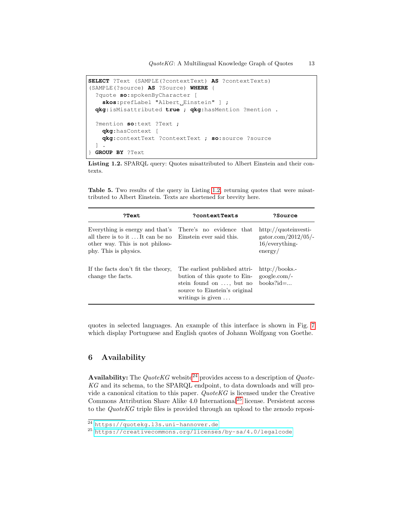```
SELECT ?Text (SAMPLE(?contextText) AS ?contextTexts)
(SAMPLE(?source) AS ?Source) WHERE {
  ?quote so:spokenByCharacter [
    skos: prefLabel "Albert Einstein" ] ;
  qkg:isMisattributed true ; qkg:hasMention ?mention .
  ?mention so:text ?Text ;
    qkg:hasContext [
    qkg:contextText ?contextText ; so:source ?source
  ] .
} GROUP BY ?Text
```
Listing 1.2. SPARQL query: Quotes misattributed to Albert Einstein and their contexts.

<span id="page-12-2"></span>Table 5. Two results of the query in Listing [1.2,](#page-12-1) returning quotes that were misattributed to Albert Einstein. Texts are shortened for brevity here.

| ?Text                                                                                                                                                                            | ?contextTexts                                                                                                                                                  | ?Source                                                                      |
|----------------------------------------------------------------------------------------------------------------------------------------------------------------------------------|----------------------------------------------------------------------------------------------------------------------------------------------------------------|------------------------------------------------------------------------------|
| Everything is energy and that's There's no evidence that<br>all there is to it It can be no Einstein ever said this.<br>other way. This is not philoso-<br>phy. This is physics. |                                                                                                                                                                | $http://quoteinvesti-$<br>gator.com/2012/05/-<br>$16/everything-$<br>energy/ |
| If the facts don't fit the theory,<br>change the facts.                                                                                                                          | The earliest published attri-<br>bution of this quote to Ein-<br>stein found on $\dots$ , but no<br>source to Einstein's original<br>writings is given $\dots$ | $\frac{http://books.-}{}$<br>google.com/-<br>$books?id = \dots$              |

quotes in selected languages. An example of this interface is shown in Fig. [7](#page-13-1) which display Portuguese and English quotes of Johann Wolfgang von Goethe.

# <span id="page-12-0"></span>6 Availability

Availability: The  $QuoteKG$  website<sup>[24](#page-12-3)</sup> provides access to a description of  $Quote-$ KG and its schema, to the SPARQL endpoint, to data downloads and will provide a canonical citation to this paper. QuoteKG is licensed under the Creative Commons Attribution Share Alike  $4.0$  International<sup>[25](#page-12-4)</sup> license. Persistent access to the QuoteKG triple files is provided through an upload to the zenodo reposi-

<span id="page-12-3"></span><sup>24</sup> <https://quotekg.l3s.uni-hannover.de>

<span id="page-12-4"></span><sup>25</sup> <https://creativecommons.org/licenses/by-sa/4.0/legalcode>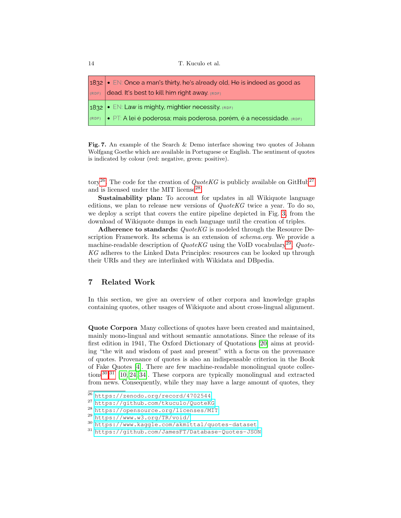| $ 1832  \bullet \text{ EN: Once a man's thirty, he's already old, He is indeed as good as }$<br>(RDF) dead. It's best to kill him right away. (RDF) |
|-----------------------------------------------------------------------------------------------------------------------------------------------------|
| 1832 $\cdot$ EN: Law is mighty, mightier necessity. (RDF)                                                                                           |
| (RDF) · PT: A lei é poderosa; mais poderosa, porém, é a necessidade. (RDF)                                                                          |

<span id="page-13-1"></span>Fig. 7. An example of the Search & Demo interface showing two quotes of Johann Wolfgang Goethe which are available in Portuguese or English. The sentiment of quotes is indicated by colour (red: negative, green: positive).

tory<sup>[26](#page-13-2)</sup>. The code for the creation of  $QuoteKG$  is publicly available on GitHub<sup>[27](#page-13-3)</sup> and is licensed under the MIT license<sup>[28](#page-13-4)</sup>.

Sustainability plan: To account for updates in all Wikiquote language editions, we plan to release new versions of  $QuotekG$  twice a year. To do so, we deploy a script that covers the entire pipeline depicted in Fig. [3,](#page-5-2) from the download of Wikiquote dumps in each language until the creation of triples.

Adherence to standards: QuoteKG is modeled through the Resource Description Framework. Its schema is an extension of schema.org. We provide a machine-readable description of  $QuoteKG$  using the VoID vocabulary<sup>[29](#page-13-5)</sup>.  $Quote-$ KG adheres to the Linked Data Principles: resources can be looked up through their URIs and they are interlinked with Wikidata and DBpedia.

# <span id="page-13-0"></span>7 Related Work

In this section, we give an overview of other corpora and knowledge graphs containing quotes, other usages of Wikiquote and about cross-lingual alignment.

Quote Corpora Many collections of quotes have been created and maintained, mainly mono-lingual and without semantic annotations. Since the release of its first edition in 1941, The Oxford Dictionary of Quotations [\[20\]](#page-16-16) aims at providing "the wit and wisdom of past and present" with a focus on the provenance of quotes. Provenance of quotes is also an indispensable criterion in the Book of Fake Quotes [\[4\]](#page-15-9). There are few machine-readable monolingual quote collections[30](#page-13-6),[31](#page-13-7) [\[10,](#page-15-0) [24,](#page-16-5) [34\]](#page-16-6). These corpora are typically monolingual and extracted from news. Consequently, while they may have a large amount of quotes, they

<span id="page-13-2"></span><sup>26</sup> <https://zenodo.org/record/4702544>

<span id="page-13-3"></span><sup>27</sup> <https://github.com/tkuculo/QuoteKG>

<span id="page-13-4"></span><sup>28</sup> <https://opensource.org/licenses/MIT>

<span id="page-13-5"></span><sup>29</sup> <https://www.w3.org/TR/void/>

<span id="page-13-6"></span><sup>30</sup> <https://www.kaggle.com/akmittal/quotes-dataset>

<span id="page-13-7"></span><sup>31</sup> <https://github.com/JamesFT/Database-Quotes-JSON>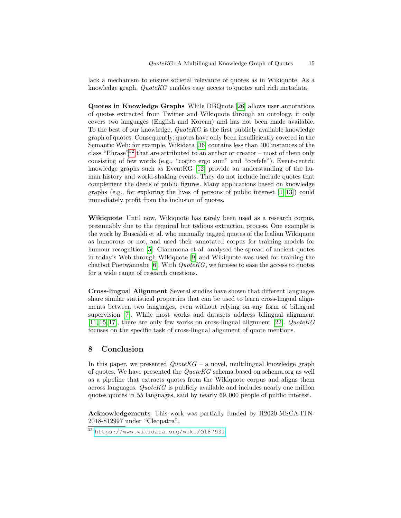lack a mechanism to ensure societal relevance of quotes as in Wikiquote. As a knowledge graph, QuoteKG enables easy access to quotes and rich metadata.

Quotes in Knowledge Graphs While DBQuote [\[26\]](#page-16-17) allows user annotations of quotes extracted from Twitter and Wikiquote through an ontology, it only covers two languages (English and Korean) and has not been made available. To the best of our knowledge,  $QuoteKG$  is the first publicly available knowledge graph of quotes. Consequently, quotes have only been insufficiently covered in the Semantic Web: for example, Wikidata [\[36\]](#page-16-8) contains less than 400 instances of the class "Phrase"<sup>[32](#page-14-1)</sup> that are attributed to an author or creator – most of them only consisting of few words (e.g., "cogito ergo sum" and "covfefe"). Event-centric knowledge graphs such as EventKG [\[12\]](#page-15-2) provide an understanding of the human history and world-shaking events. They do not include include quotes that complement the deeds of public figures. Many applications based on knowledge graphs (e.g., for exploring the lives of persons of public interest  $[1, 13]$  $[1, 13]$ ) could immediately profit from the inclusion of quotes.

Wikiquote Until now, Wikiquote has rarely been used as a research corpus, presumably due to the required but tedious extraction process. One example is the work by Buscaldi et al. who manually tagged quotes of the Italian Wikiquote as humorous or not, and used their annotated corpus for training models for humour recognition [\[5\]](#page-15-10). Giammona et al. analysed the spread of ancient quotes in today's Web through Wikiquote [\[9\]](#page-15-11) and Wikiquote was used for training the chatbot Poetwannabe [\[6\]](#page-15-12). With  $QuoteKG$ , we foresee to ease the access to quotes for a wide range of research questions.

Cross-lingual Alignment Several studies have shown that different languages share similar statistical properties that can be used to learn cross-lingual alignments between two languages, even without relying on any form of bilingual supervision [\[7\]](#page-15-13). While most works and datasets address bilingual alignment  $[11, 15, 17]$  $[11, 15, 17]$  $[11, 15, 17]$ , there are only few works on cross-lingual alignment  $[22]$ . QuoteKG focuses on the specific task of cross-lingual alignment of quote mentions.

# <span id="page-14-0"></span>8 Conclusion

In this paper, we presented  $QuoteKG - a$  novel, multilingual knowledge graph of quotes. We have presented the  $QuoteKG$  schema based on schema.org as well as a pipeline that extracts quotes from the Wikiquote corpus and aligns them across languages. QuoteKG is publicly available and includes nearly one million quotes quotes in 55 languages, said by nearly 69, 000 people of public interest.

Acknowledgements This work was partially funded by H2020-MSCA-ITN-2018-812997 under "Cleopatra".

<span id="page-14-1"></span><sup>32</sup> <https://www.wikidata.org/wiki/Q187931>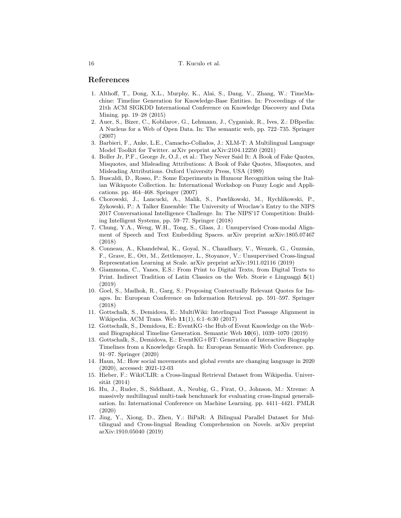#### 16 T. Kuculo et al.

### References

- <span id="page-15-3"></span>1. Althoff, T., Dong, X.L., Murphy, K., Alai, S., Dang, V., Zhang, W.: TimeMachine: Timeline Generation for Knowledge-Base Entities. In: Proceedings of the 21th ACM SIGKDD International Conference on Knowledge Discovery and Data Mining. pp. 19–28 (2015)
- <span id="page-15-1"></span>2. Auer, S., Bizer, C., Kobilarov, G., Lehmann, J., Cyganiak, R., Ives, Z.: DBpedia: A Nucleus for a Web of Open Data. In: The semantic web, pp. 722–735. Springer (2007)
- <span id="page-15-6"></span>3. Barbieri, F., Anke, L.E., Camacho-Collados, J.: XLM-T: A Multilingual Language Model Toolkit for Twitter. arXiv preprint arXiv:2104.12250 (2021)
- <span id="page-15-9"></span>4. Boller Jr, P.F., George Jr, O.J., et al.: They Never Said It: A Book of Fake Quotes, Misquotes, and Misleading Attributions: A Book of Fake Quotes, Misquotes, and Misleading Attributions. Oxford University Press, USA (1989)
- <span id="page-15-10"></span>5. Buscaldi, D., Rosso, P.: Some Experiments in Humour Recognition using the Italian Wikiquote Collection. In: International Workshop on Fuzzy Logic and Applications. pp. 464–468. Springer (2007)
- <span id="page-15-12"></span>6. Chorowski, J., Lancucki, A., Malik, S., Pawlikowski, M., Rychlikowski, P., Zykowski, P.: A Talker Ensemble: The University of Wroclaw's Entry to the NIPS 2017 Conversational Intelligence Challenge. In: The NIPS'17 Competition: Building Intelligent Systems, pp. 59–77. Springer (2018)
- <span id="page-15-13"></span>7. Chung, Y.A., Weng, W.H., Tong, S., Glass, J.: Unsupervised Cross-modal Alignment of Speech and Text Embedding Spaces. arXiv preprint arXiv:1805.07467 (2018)
- <span id="page-15-7"></span>8. Conneau, A., Khandelwal, K., Goyal, N., Chaudhary, V., Wenzek, G., Guzmán, F., Grave, E., Ott, M., Zettlemoyer, L., Stoyanov, V.: Unsupervised Cross-lingual Representation Learning at Scale. arXiv preprint arXiv:1911.02116 (2019)
- <span id="page-15-11"></span>9. Giammona, C., Yanes, E.S.: From Print to Digital Texts, from Digital Texts to Print. Indirect Tradition of Latin Classics on the Web. Storie e Linguaggi 5(1) (2019)
- <span id="page-15-0"></span>10. Goel, S., Madhok, R., Garg, S.: Proposing Contextually Relevant Quotes for Images. In: European Conference on Information Retrieval. pp. 591–597. Springer (2018)
- <span id="page-15-14"></span>11. Gottschalk, S., Demidova, E.: MultiWiki: Interlingual Text Passage Alignment in Wikipedia. ACM Trans. Web 11(1), 6:1–6:30 (2017)
- <span id="page-15-2"></span>12. Gottschalk, S., Demidova, E.: EventKG–the Hub of Event Knowledge on the Web– and Biographical Timeline Generation. Semantic Web 10(6), 1039–1070 (2019)
- <span id="page-15-4"></span>13. Gottschalk, S., Demidova, E.: EventKG+BT: Generation of Interactive Biography Timelines from a Knowledge Graph. In: European Semantic Web Conference. pp. 91–97. Springer (2020)
- <span id="page-15-5"></span>14. Haun, M.: How social movements and global events are changing language in 2020 (2020), accessed: 2021-12-03
- <span id="page-15-15"></span>15. Hieber, F.: WikiCLIR: a Cross-lingual Retrieval Dataset from Wikipedia. Universität  $(2014)$
- <span id="page-15-8"></span>16. Hu, J., Ruder, S., Siddhant, A., Neubig, G., Firat, O., Johnson, M.: Xtreme: A massively multilingual multi-task benchmark for evaluating cross-lingual generalisation. In: International Conference on Machine Learning. pp. 4411–4421. PMLR (2020)
- <span id="page-15-16"></span>17. Jing, Y., Xiong, D., Zhen, Y.: BiPaR: A Bilingual Parallel Dataset for Multilingual and Cross-lingual Reading Comprehension on Novels. arXiv preprint arXiv:1910.05040 (2019)